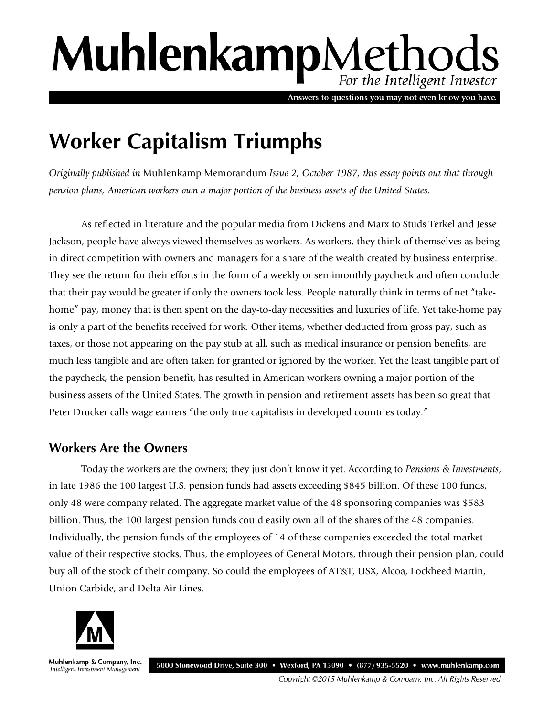# MuhlenkampMethods For the Intelligent Investor

Answers to questions you may not even know you have.

# **Worker Capitalism Triumphs**

*Originally published in* Muhlenkamp Memorandum *Issue 2, October 1987, this essay points out that through pension plans, American workers own a major portion of the business assets of the United States.* 

As reflected in literature and the popular media from Dickens and Marx to Studs Terkel and Jesse Jackson, people have always viewed themselves as workers. As workers, they think of themselves as being in direct competition with owners and managers for a share of the wealth created by business enterprise. They see the return for their efforts in the form of a weekly or semimonthly paycheck and often conclude that their pay would be greater if only the owners took less. People naturally think in terms of net "takehome" pay, money that is then spent on the day-to-day necessities and luxuries of life. Yet take-home pay is only a part of the benefits received for work. Other items, whether deducted from gross pay, such as taxes, or those not appearing on the pay stub at all, such as medical insurance or pension benefits, are much less tangible and are often taken for granted or ignored by the worker. Yet the least tangible part of the paycheck, the pension benefit, has resulted in American workers owning a major portion of the business assets of the United States. The growth in pension and retirement assets has been so great that Peter Drucker calls wage earners "the only true capitalists in developed countries today."

## **Workers Are the Owners**

Today the workers are the owners; they just don't know it yet. According to *Pensions & Investments*, in late 1986 the 100 largest U.S. pension funds had assets exceeding \$845 billion. Of these 100 funds, only 48 were company related. The aggregate market value of the 48 sponsoring companies was \$583 billion. Thus, the 100 largest pension funds could easily own all of the shares of the 48 companies. Individually, the pension funds of the employees of 14 of these companies exceeded the total market value of their respective stocks. Thus, the employees of General Motors, through their pension plan, could buy all of the stock of their company. So could the employees of AT&T, USX, Alcoa, Lockheed Martin, Union Carbide, and Delta Air Lines.



Muhlenkamp & Company, Inc. 5000 Stonewood Drive, Suite 300 • Wexford, PA 15090 • (877) 935-5520 • www.muhlenkamp.com Intelligent Investment Management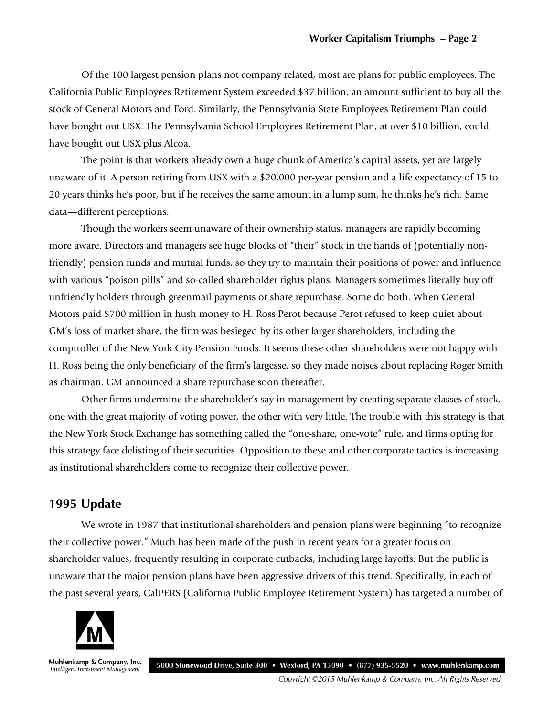Of the 100 largest pension plans not company related, most are plans for public employees. The California Public Employees Retirement System exceeded \$37 billion, an amount sufficient to buy all the stock of General Motors and Ford. Similarly, the Pennsylvania State Employees Retirement Plan could have bought out USX. The Pennsylvania School Employees Retirement Plan, at over \$10 billion, could have bought out USX plus Alcoa.

The point is that workers already own a huge chunk of America's capital assets, yet are largely unaware of it. A person retiring from USX with a \$20,000 per-year pension and a life expectancy of 15 to 20 years thinks he's poor, but if he receives the same amount in a lump sum, he thinks he's rich. Same data—different perceptions.

Though the workers seem unaware of their ownership status, managers are rapidly becoming more aware. Directors and managers see huge blocks of "their" stock in the hands of (potentially nonfriendly) pension funds and mutual funds, so they try to maintain their positions of power and influence with various "poison pills" and so-called shareholder rights plans. Managers sometimes literally buy off unfriendly holders through greenmail payments or share repurchase. Some do both. When General Motors paid \$700 million in hush money to H. Ross Perot because Perot refused to keep quiet about GM's loss of market share, the firm was besieged by its other larger shareholders, including the comptroller of the New York City Pension Funds. It seems these other shareholders were not happy with H. Ross being the only beneficiary of the firm's largesse, so they made noises about replacing Roger Smith as chairman. GM announced a share repurchase soon thereafter.

Other firms undermine the shareholder's say in management by creating separate classes of stock, one with the great majority of voting power, the other with very little. The trouble with this strategy is that the New York Stock Exchange has something called the "one-share, one-vote" rule, and firms opting for this strategy face delisting of their securities. Opposition to these and other corporate tactics is increasing as institutional shareholders come to recognize their collective power.

### **1995 Update**

We wrote in 1987 that institutional shareholders and pension plans were beginning "to recognize their collective power." Much has been made of the push in recent years for a greater focus on shareholder values, frequently resulting in corporate cutbacks, including large layoffs. But the public is unaware that the major pension plans have been aggressive drivers of this trend. Specifically, in each of the past several years, CalPERS (California Public Employee Retirement System) has targeted a number of



Muhlenkamp & Company, Inc. Intelligent Investment Management

5000 Stonewood Drive, Suite 300 • Wexford, PA 15090 • (877) 935-5520 • www.muhlenkamp.com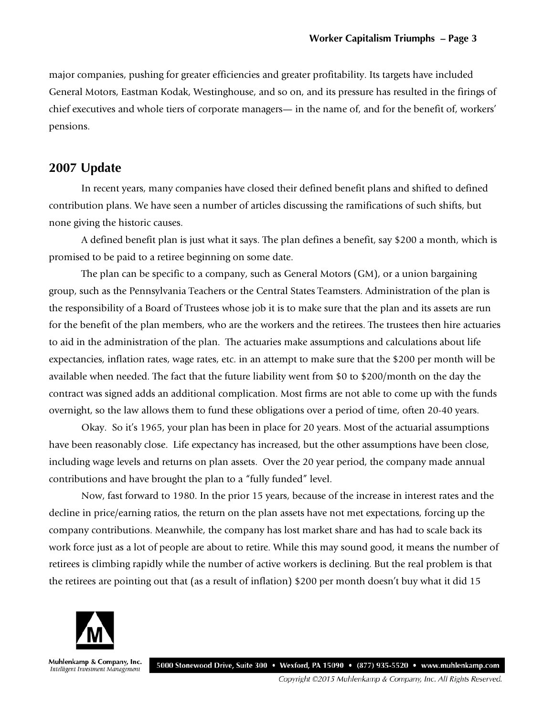major companies, pushing for greater efficiencies and greater profitability. Its targets have included General Motors, Eastman Kodak, Westinghouse, and so on, and its pressure has resulted in the firings of chief executives and whole tiers of corporate managers— in the name of, and for the benefit of, workers' pensions.

#### **2007 Update**

In recent years, many companies have closed their defined benefit plans and shifted to defined contribution plans. We have seen a number of articles discussing the ramifications of such shifts, but none giving the historic causes.

A defined benefit plan is just what it says. The plan defines a benefit, say \$200 a month, which is promised to be paid to a retiree beginning on some date.

The plan can be specific to a company, such as General Motors (GM), or a union bargaining group, such as the Pennsylvania Teachers or the Central States Teamsters. Administration of the plan is the responsibility of a Board of Trustees whose job it is to make sure that the plan and its assets are run for the benefit of the plan members, who are the workers and the retirees. The trustees then hire actuaries to aid in the administration of the plan. The actuaries make assumptions and calculations about life expectancies, inflation rates, wage rates, etc. in an attempt to make sure that the \$200 per month will be available when needed. The fact that the future liability went from \$0 to \$200/month on the day the contract was signed adds an additional complication. Most firms are not able to come up with the funds overnight, so the law allows them to fund these obligations over a period of time, often 20-40 years.

Okay. So it's 1965, your plan has been in place for 20 years. Most of the actuarial assumptions have been reasonably close. Life expectancy has increased, but the other assumptions have been close, including wage levels and returns on plan assets. Over the 20 year period, the company made annual contributions and have brought the plan to a "fully funded" level.

Now, fast forward to 1980. In the prior 15 years, because of the increase in interest rates and the decline in price/earning ratios, the return on the plan assets have not met expectations, forcing up the company contributions. Meanwhile, the company has lost market share and has had to scale back its work force just as a lot of people are about to retire. While this may sound good, it means the number of retirees is climbing rapidly while the number of active workers is declining. But the real problem is that the retirees are pointing out that (as a result of inflation) \$200 per month doesn't buy what it did 15



Muhlenkamp & Company, Inc. Intelligent Investment Management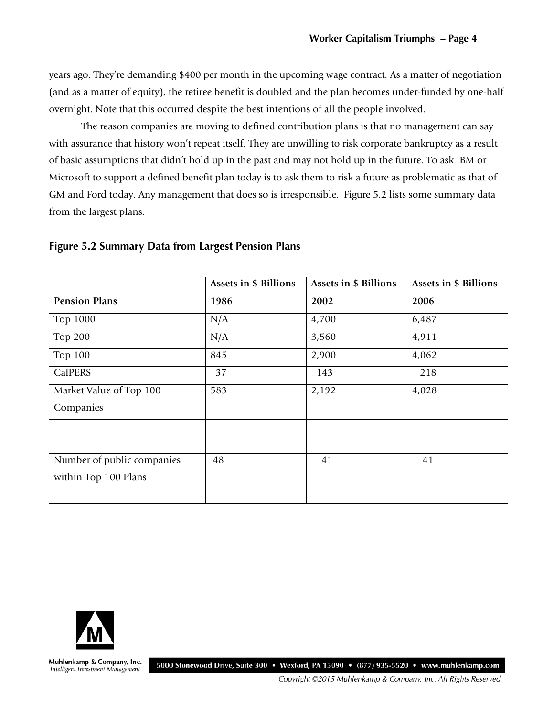years ago. They're demanding \$400 per month in the upcoming wage contract. As a matter of negotiation (and as a matter of equity), the retiree benefit is doubled and the plan becomes under-funded by one-half overnight. Note that this occurred despite the best intentions of all the people involved.

The reason companies are moving to defined contribution plans is that no management can say with assurance that history won't repeat itself. They are unwilling to risk corporate bankruptcy as a result of basic assumptions that didn't hold up in the past and may not hold up in the future. To ask IBM or Microsoft to support a defined benefit plan today is to ask them to risk a future as problematic as that of GM and Ford today. Any management that does so is irresponsible. Figure 5.2 lists some summary data from the largest plans.

|                            | <b>Assets in \$ Billions</b> | <b>Assets in \$ Billions</b> | <b>Assets in \$ Billions</b> |
|----------------------------|------------------------------|------------------------------|------------------------------|
| <b>Pension Plans</b>       | 1986                         | 2002                         | 2006                         |
| Top 1000                   | N/A                          | 4,700                        | 6,487                        |
| <b>Top 200</b>             | N/A                          | 3,560                        | 4,911                        |
| <b>Top 100</b>             | 845                          | 2,900                        | 4,062                        |
| <b>CalPERS</b>             | 37                           | 143                          | 218                          |
| Market Value of Top 100    | 583                          | 2,192                        | 4,028                        |
| Companies                  |                              |                              |                              |
|                            |                              |                              |                              |
|                            |                              |                              |                              |
| Number of public companies | 48                           | 41                           | 41                           |
| within Top 100 Plans       |                              |                              |                              |
|                            |                              |                              |                              |

#### **Figure 5.2 Summary Data from Largest Pension Plans**



Muhlenkamp & Company, Inc. Intelligent Investment Management

5000 Stonewood Drive, Suite 300 • Wexford, PA 15090 • (877) 935-5520 • www.muhlenkamp.com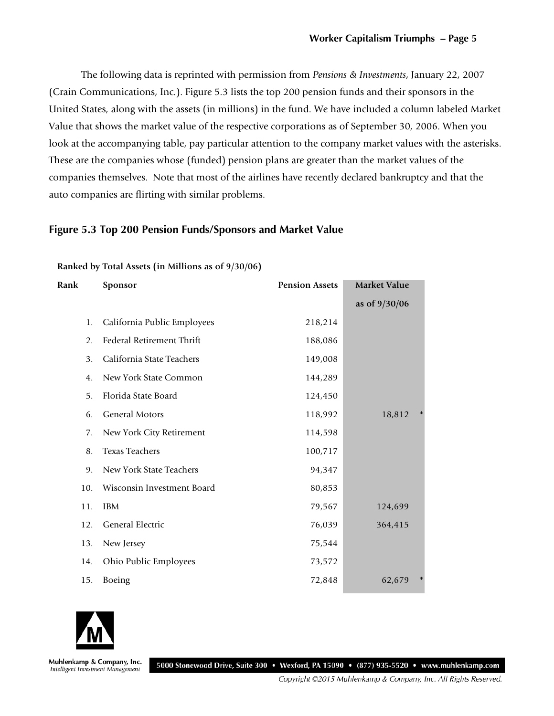The following data is reprinted with permission from *Pensions & Investments*, January 22, 2007 (Crain Communications, Inc.). Figure 5.3 lists the top 200 pension funds and their sponsors in the United States, along with the assets (in millions) in the fund. We have included a column labeled Market Value that shows the market value of the respective corporations as of September 30, 2006. When you look at the accompanying table, pay particular attention to the company market values with the asterisks. These are the companies whose (funded) pension plans are greater than the market values of the companies themselves. Note that most of the airlines have recently declared bankruptcy and that the auto companies are flirting with similar problems.

#### **Figure 5.3 Top 200 Pension Funds/Sponsors and Market Value**

| Rank | Sponsor                     | <b>Pension Assets</b> | <b>Market Value</b> |  |
|------|-----------------------------|-----------------------|---------------------|--|
|      |                             |                       | as of 9/30/06       |  |
| 1.   | California Public Employees | 218,214               |                     |  |
| 2.   | Federal Retirement Thrift   | 188,086               |                     |  |
| 3.   | California State Teachers   | 149,008               |                     |  |
| 4.   | New York State Common       | 144,289               |                     |  |
| 5.   | Florida State Board         | 124,450               |                     |  |
| 6.   | <b>General Motors</b>       | 118,992               | 18,812              |  |
| 7.   | New York City Retirement    | 114,598               |                     |  |
| 8.   | <b>Texas Teachers</b>       | 100,717               |                     |  |
| 9.   | New York State Teachers     | 94,347                |                     |  |
| 10.  | Wisconsin Investment Board  | 80,853                |                     |  |
| 11.  | <b>IBM</b>                  | 79,567                | 124,699             |  |
| 12.  | General Electric            | 76,039                | 364,415             |  |
| 13.  | New Jersey                  | 75,544                |                     |  |
| 14.  | Ohio Public Employees       | 73,572                |                     |  |
| 15.  | Boeing                      | 72,848                | 62,679              |  |

**Ranked by Total Assets (in Millions as of 9/30/06)**



Muhlenkamp & Company, Inc. Intelligent Investment Management

5000 Stonewood Drive, Suite 300 • Wexford, PA 15090 • (877) 935-5520 • www.muhlenkamp.com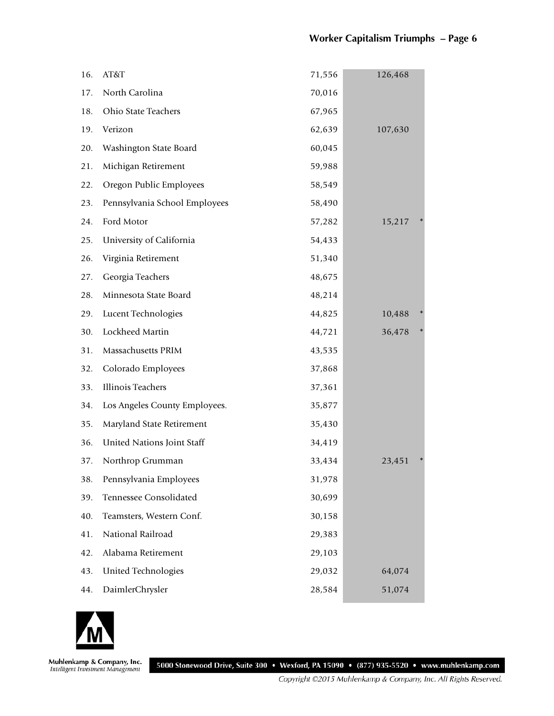| 16. | AT&T                          | 71,556 | 126,468 |  |
|-----|-------------------------------|--------|---------|--|
| 17. | North Carolina                | 70,016 |         |  |
| 18. | Ohio State Teachers           | 67,965 |         |  |
| 19. | Verizon                       | 62,639 | 107,630 |  |
| 20. | Washington State Board        | 60,045 |         |  |
| 21. | Michigan Retirement           | 59,988 |         |  |
| 22. | Oregon Public Employees       | 58,549 |         |  |
| 23. | Pennsylvania School Employees | 58,490 |         |  |
| 24. | Ford Motor                    | 57,282 | 15,217  |  |
| 25. | University of California      | 54,433 |         |  |
| 26. | Virginia Retirement           | 51,340 |         |  |
| 27. | Georgia Teachers              | 48,675 |         |  |
| 28. | Minnesota State Board         | 48,214 |         |  |
| 29. | Lucent Technologies           | 44,825 | 10,488  |  |
| 30. | Lockheed Martin               | 44,721 | 36,478  |  |
| 31. | Massachusetts PRIM            | 43,535 |         |  |
| 32. | Colorado Employees            | 37,868 |         |  |
| 33. | <b>Illinois Teachers</b>      | 37,361 |         |  |
| 34. | Los Angeles County Employees. | 35,877 |         |  |
| 35. | Maryland State Retirement     | 35,430 |         |  |
| 36. | United Nations Joint Staff    | 34,419 |         |  |
| 37. | Northrop Grumman              | 33,434 | 23,451  |  |
| 38. | Pennsylvania Employees        | 31,978 |         |  |
| 39. | Tennessee Consolidated        | 30,699 |         |  |
| 40. | Teamsters, Western Conf.      | 30,158 |         |  |
| 41. | National Railroad             | 29,383 |         |  |
| 42. | Alabama Retirement            | 29,103 |         |  |
| 43. | United Technologies           | 29,032 | 64,074  |  |
| 44. | DaimlerChrysler               | 28,584 | 51,074  |  |



5000 Stonewood Drive, Suite 300 · Wexford, PA 15090 · (877) 935-5520 · www.muhlenkamp.com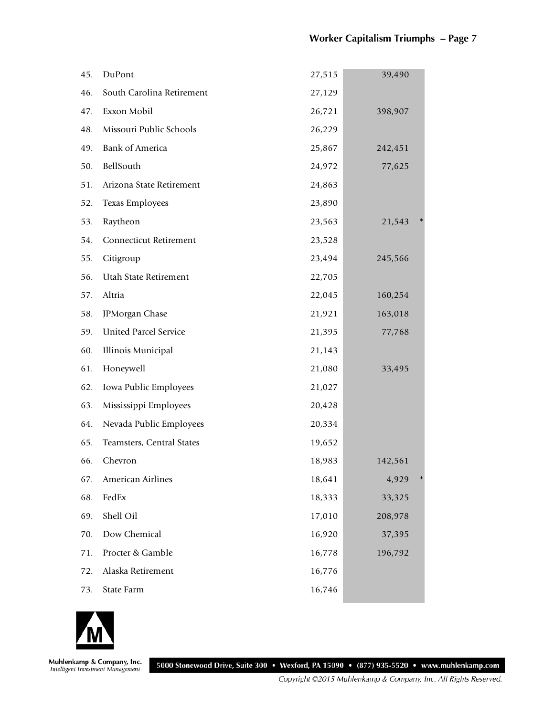| 45. | DuPont                        | 27,515 | 39,490  |  |
|-----|-------------------------------|--------|---------|--|
| 46. | South Carolina Retirement     | 27,129 |         |  |
| 47. | Exxon Mobil                   | 26,721 | 398,907 |  |
| 48. | Missouri Public Schools       | 26,229 |         |  |
| 49. | <b>Bank of America</b>        | 25,867 | 242,451 |  |
| 50. | BellSouth                     | 24,972 | 77,625  |  |
| 51. | Arizona State Retirement      | 24,863 |         |  |
| 52. | <b>Texas Employees</b>        | 23,890 |         |  |
| 53. | Raytheon                      | 23,563 | 21,543  |  |
| 54. | <b>Connecticut Retirement</b> | 23,528 |         |  |
| 55. | Citigroup                     | 23,494 | 245,566 |  |
| 56. | Utah State Retirement         | 22,705 |         |  |
| 57. | Altria                        | 22,045 | 160,254 |  |
| 58. | JPMorgan Chase                | 21,921 | 163,018 |  |
| 59. | <b>United Parcel Service</b>  | 21,395 | 77,768  |  |
| 60. | Illinois Municipal            | 21,143 |         |  |
| 61. | Honeywell                     | 21,080 | 33,495  |  |
| 62. | Iowa Public Employees         | 21,027 |         |  |
| 63. | Mississippi Employees         | 20,428 |         |  |
| 64. | Nevada Public Employees       | 20,334 |         |  |
| 65. | Teamsters, Central States     | 19,652 |         |  |
| 66. | Chevron                       | 18,983 | 142,561 |  |
| 67. | American Airlines             | 18,641 | 4,929   |  |
| 68. | FedEx                         | 18,333 | 33,325  |  |
| 69. | Shell Oil                     | 17,010 | 208,978 |  |
| 70. | Dow Chemical                  | 16,920 | 37,395  |  |
| 71. | Procter & Gamble              | 16,778 | 196,792 |  |
| 72. | Alaska Retirement             | 16,776 |         |  |
| 73. | State Farm                    | 16,746 |         |  |



5000 Stonewood Drive, Suite 300 · Wexford, PA 15090 · (877) 935-5520 · www.muhlenkamp.com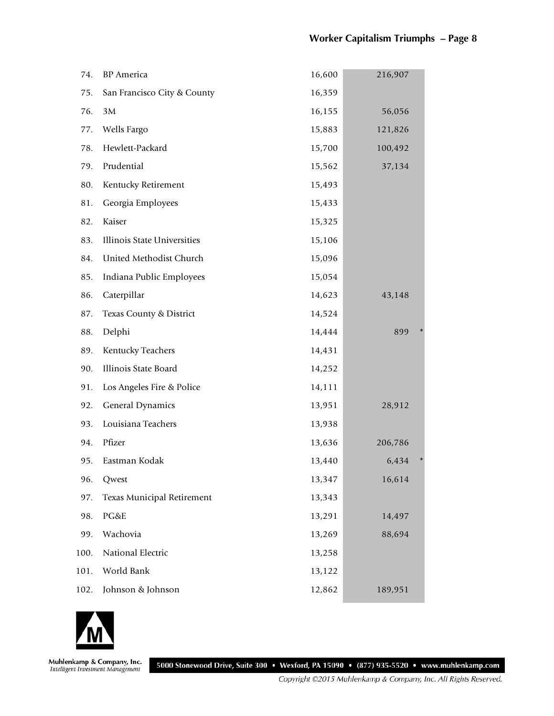| 74.  | <b>BP</b> America           | 16,600 | 216,907 |  |
|------|-----------------------------|--------|---------|--|
| 75.  | San Francisco City & County | 16,359 |         |  |
| 76.  | 3M                          | 16,155 | 56,056  |  |
| 77.  | Wells Fargo                 | 15,883 | 121,826 |  |
| 78.  | Hewlett-Packard             | 15,700 | 100,492 |  |
| 79.  | Prudential                  | 15,562 | 37,134  |  |
| 80.  | Kentucky Retirement         | 15,493 |         |  |
| 81.  | Georgia Employees           | 15,433 |         |  |
| 82.  | Kaiser                      | 15,325 |         |  |
| 83.  | Illinois State Universities | 15,106 |         |  |
| 84.  | United Methodist Church     | 15,096 |         |  |
| 85.  | Indiana Public Employees    | 15,054 |         |  |
| 86.  | Caterpillar                 | 14,623 | 43,148  |  |
| 87.  | Texas County & District     | 14,524 |         |  |
| 88.  | Delphi                      | 14,444 | 899     |  |
| 89.  | Kentucky Teachers           | 14,431 |         |  |
| 90.  | Illinois State Board        | 14,252 |         |  |
| 91.  | Los Angeles Fire & Police   | 14,111 |         |  |
| 92.  | General Dynamics            | 13,951 | 28,912  |  |
| 93.  | Louisiana Teachers          | 13,938 |         |  |
| 94.  | Pfizer                      | 13,636 | 206,786 |  |
| 95.  | Eastman Kodak               | 13,440 | 6,434   |  |
| 96.  | Qwest                       | 13,347 | 16,614  |  |
| 97.  | Texas Municipal Retirement  | 13,343 |         |  |
| 98.  | PG&E                        | 13,291 | 14,497  |  |
| 99.  | Wachovia                    | 13,269 | 88,694  |  |
| 100. | National Electric           | 13,258 |         |  |
| 101. | World Bank                  | 13,122 |         |  |
| 102. | Johnson & Johnson           | 12,862 | 189,951 |  |
|      |                             |        |         |  |

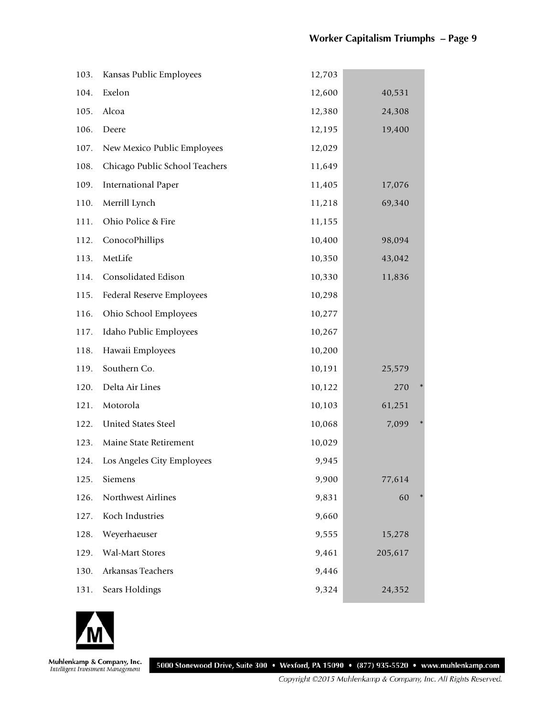| 103. | Kansas Public Employees        | 12,703 |         |  |
|------|--------------------------------|--------|---------|--|
| 104. | Exelon                         | 12,600 | 40,531  |  |
| 105. | Alcoa                          | 12,380 | 24,308  |  |
| 106. | Deere                          | 12,195 | 19,400  |  |
| 107. | New Mexico Public Employees    | 12,029 |         |  |
| 108. | Chicago Public School Teachers | 11,649 |         |  |
| 109. | <b>International Paper</b>     | 11,405 | 17,076  |  |
| 110. | Merrill Lynch                  | 11,218 | 69,340  |  |
| 111. | Ohio Police & Fire             | 11,155 |         |  |
| 112. | ConocoPhillips                 | 10,400 | 98,094  |  |
| 113. | MetLife                        | 10,350 | 43,042  |  |
| 114. | Consolidated Edison            | 10,330 | 11,836  |  |
| 115. | Federal Reserve Employees      | 10,298 |         |  |
| 116. | Ohio School Employees          | 10,277 |         |  |
| 117. | Idaho Public Employees         | 10,267 |         |  |
| 118. | Hawaii Employees               | 10,200 |         |  |
| 119. | Southern Co.                   | 10,191 | 25,579  |  |
| 120. | Delta Air Lines                | 10,122 | 270     |  |
| 121. | Motorola                       | 10,103 | 61,251  |  |
| 122. | United States Steel            | 10,068 | 7,099   |  |
| 123. | Maine State Retirement         | 10,029 |         |  |
| 124. | Los Angeles City Employees     | 9,945  |         |  |
| 125. | Siemens                        | 9,900  | 77,614  |  |
| 126. | Northwest Airlines             | 9,831  | 60      |  |
| 127. | Koch Industries                | 9,660  |         |  |
| 128. | Weyerhaeuser                   | 9,555  | 15,278  |  |
| 129. | <b>Wal-Mart Stores</b>         | 9,461  | 205,617 |  |
| 130. | Arkansas Teachers              | 9,446  |         |  |
| 131. | Sears Holdings                 | 9,324  | 24,352  |  |

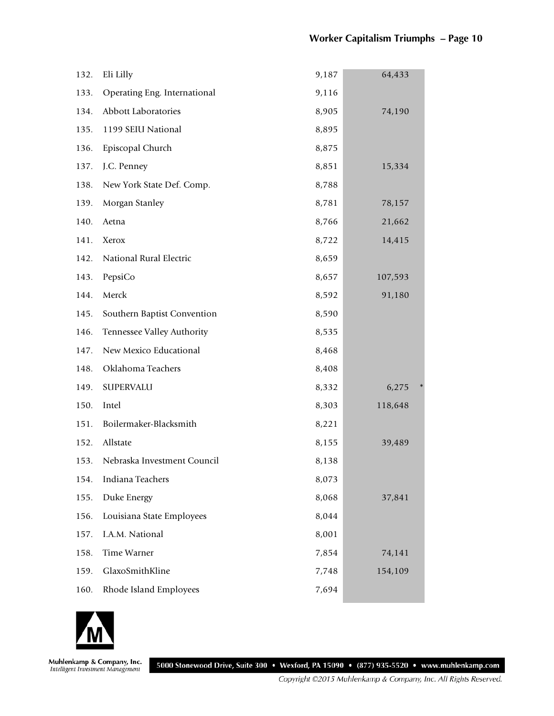| 132. | Eli Lilly                    | 9,187 | 64,433  |
|------|------------------------------|-------|---------|
| 133. | Operating Eng. International | 9,116 |         |
| 134. | Abbott Laboratories          | 8,905 | 74,190  |
| 135. | 1199 SEIU National           | 8,895 |         |
| 136. | Episcopal Church             | 8,875 |         |
| 137. | J.C. Penney                  | 8,851 | 15,334  |
| 138. | New York State Def. Comp.    | 8,788 |         |
| 139. | Morgan Stanley               | 8,781 | 78,157  |
| 140. | Aetna                        | 8,766 | 21,662  |
| 141. | Xerox                        | 8,722 | 14,415  |
| 142. | National Rural Electric      | 8,659 |         |
| 143. | PepsiCo                      | 8,657 | 107,593 |
| 144. | Merck                        | 8,592 | 91,180  |
| 145. | Southern Baptist Convention  | 8,590 |         |
| 146. | Tennessee Valley Authority   | 8,535 |         |
| 147. | New Mexico Educational       | 8,468 |         |
| 148. | Oklahoma Teachers            | 8,408 |         |
| 149. | <b>SUPERVALU</b>             | 8,332 | 6,275   |
| 150. | Intel                        | 8,303 | 118,648 |
| 151. | Boilermaker-Blacksmith       | 8,221 |         |
| 152. | Allstate                     | 8,155 | 39,489  |
| 153. | Nebraska Investment Council  | 8,138 |         |
| 154. | Indiana Teachers             | 8,073 |         |
| 155. | Duke Energy                  | 8,068 | 37,841  |
| 156. | Louisiana State Employees    | 8,044 |         |
| 157. | I.A.M. National              | 8,001 |         |
| 158. | Time Warner                  | 7,854 | 74,141  |
| 159. | GlaxoSmithKline              | 7,748 | 154,109 |
| 160. | Rhode Island Employees       | 7,694 |         |

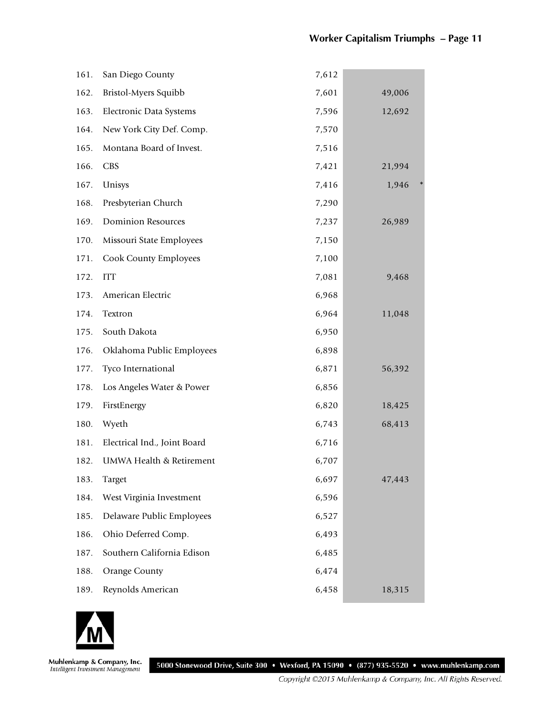| 161. | San Diego County                    | 7,612 |        |
|------|-------------------------------------|-------|--------|
| 162. | Bristol-Myers Squibb                | 7,601 | 49,006 |
| 163. | Electronic Data Systems             | 7,596 | 12,692 |
| 164. | New York City Def. Comp.            | 7,570 |        |
| 165. | Montana Board of Invest.            | 7,516 |        |
| 166. | <b>CBS</b>                          | 7,421 | 21,994 |
| 167. | Unisys                              | 7,416 | 1,946  |
| 168. | Presbyterian Church                 | 7,290 |        |
| 169. | <b>Dominion Resources</b>           | 7,237 | 26,989 |
| 170. | Missouri State Employees            | 7,150 |        |
| 171. | <b>Cook County Employees</b>        | 7,100 |        |
| 172. | <b>ITT</b>                          | 7,081 | 9,468  |
| 173. | American Electric                   | 6,968 |        |
| 174. | Textron                             | 6,964 | 11,048 |
| 175. | South Dakota                        | 6,950 |        |
| 176. | Oklahoma Public Employees           | 6,898 |        |
| 177. | Tyco International                  | 6,871 | 56,392 |
| 178. | Los Angeles Water & Power           | 6,856 |        |
| 179. | FirstEnergy                         | 6,820 | 18,425 |
| 180. | Wyeth                               | 6,743 | 68,413 |
| 181. | Electrical Ind., Joint Board        | 6,716 |        |
| 182. | <b>UMWA Health &amp; Retirement</b> | 6,707 |        |
| 183. | Target                              | 6,697 | 47,443 |
| 184. | West Virginia Investment            | 6,596 |        |
| 185. | Delaware Public Employees           | 6,527 |        |
| 186. | Ohio Deferred Comp.                 | 6,493 |        |
| 187. | Southern California Edison          | 6,485 |        |
| 188. | <b>Orange County</b>                | 6,474 |        |
| 189. | Reynolds American                   | 6,458 | 18,315 |



5000 Stonewood Drive, Suite 300 · Wexford, PA 15090 · (877) 935-5520 · www.muhlenkamp.com